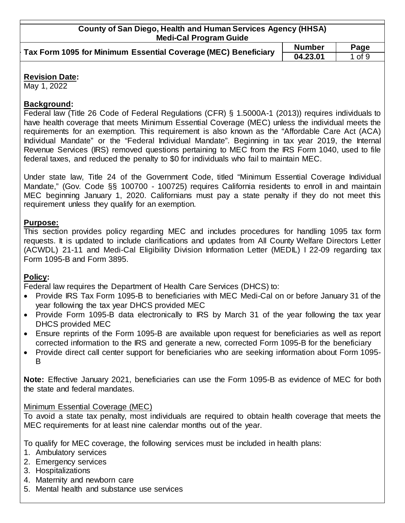| County of San Diego, Health and Human Services Agency (HHSA)   |               |            |
|----------------------------------------------------------------|---------------|------------|
| <b>Medi-Cal Program Guide</b>                                  |               |            |
| Tax Form 1095 for Minimum Essential Coverage (MEC) Beneficiary | <b>Number</b> | Page       |
|                                                                | 04.23.01      | $1$ of $9$ |
|                                                                |               |            |

## **Revision Date:**

May 1, 2022

## **Background:**

Federal law (Title 26 Code of Federal Regulations (CFR) § 1.5000A-1 (2013)) requires individuals to have health coverage that meets Minimum Essential Coverage (MEC) unless the individual meets the requirements for an exemption. This requirement is also known as the "Affordable Care Act (ACA) Individual Mandate" or the "Federal Individual Mandate". Beginning in tax year 2019, the Internal Revenue Services (IRS) removed questions pertaining to MEC from the IRS Form 1040, used to file federal taxes, and reduced the penalty to \$0 for individuals who fail to maintain MEC.

Under state law, Title 24 of the Government Code, titled "Minimum Essential Coverage Individual Mandate," (Gov. Code §§ 100700 - 100725) requires California residents to enroll in and maintain MEC beginning January 1, 2020. Californians must pay a state penalty if they do not meet this requirement unless they qualify for an exemption.

# **Purpose:**

This section provides policy regarding MEC and includes procedures for handling 1095 tax form requests. It is updated to include clarifications and updates from All County Welfare Directors Letter (ACWDL) 21-11 and Medi-Cal Eligibility Division Information Letter (MEDIL) I 22-09 regarding tax Form 1095-B and Form 3895.

# **Policy:**

Federal law requires the Department of Health Care Services (DHCS) to:

- Provide IRS Tax Form 1095-B to beneficiaries with MEC Medi-Cal on or before January 31 of the year following the tax year DHCS provided MEC
- Provide Form 1095-B data electronically to IRS by March 31 of the year following the tax year DHCS provided MEC
- Ensure reprints of the Form 1095-B are available upon request for beneficiaries as well as report corrected information to the IRS and generate a new, corrected Form 1095-B for the beneficiary
- Provide direct call center support for beneficiaries who are seeking information about Form 1095- B

**Note:** Effective January 2021, beneficiaries can use the Form 1095-B as evidence of MEC for both the state and federal mandates.

# Minimum Essential Coverage (MEC)

To avoid a state tax penalty, most individuals are required to obtain health coverage that meets the MEC requirements for at least nine calendar months out of the year.

To qualify for MEC coverage, the following services must be included in health plans:

- 1. Ambulatory services
- 2. Emergency services
- 3. Hospitalizations
- 4. Maternity and newborn care
- 5. Mental health and substance use services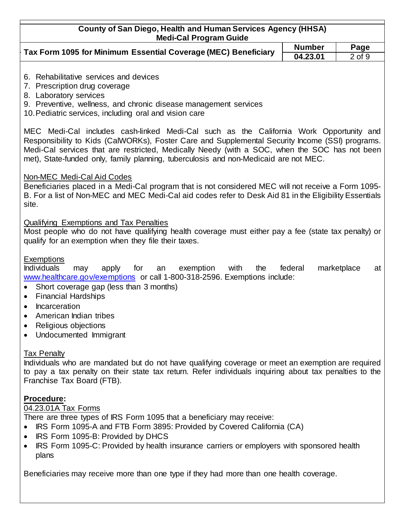| <b>County of San Diego, Health and Human Services Agency (HHSA)</b><br><b>Medi-Cal Program Guide</b>                                                                                                                                                                                                                                                                                                                                          |          |                   |  |  |
|-----------------------------------------------------------------------------------------------------------------------------------------------------------------------------------------------------------------------------------------------------------------------------------------------------------------------------------------------------------------------------------------------------------------------------------------------|----------|-------------------|--|--|
| Tax Form 1095 for Minimum Essential Coverage (MEC) Beneficiary                                                                                                                                                                                                                                                                                                                                                                                |          | Page              |  |  |
|                                                                                                                                                                                                                                                                                                                                                                                                                                               | 04.23.01 | $2$ of $9$        |  |  |
| 6. Rehabilitative services and devices<br>7. Prescription drug coverage<br>8. Laboratory services<br>9. Preventive, wellness, and chronic disease management services<br>10. Pediatric services, including oral and vision care                                                                                                                                                                                                               |          |                   |  |  |
| MEC Medi-Cal includes cash-linked Medi-Cal such as the California Work Opportunity and<br>Responsibility to Kids (CalWORKs), Foster Care and Supplemental Security Income (SSI) programs.<br>Medi-Cal services that are restricted, Medically Needy (with a SOC, when the SOC has not been<br>met), State-funded only, family planning, tuberculosis and non-Medicaid are not MEC.                                                            |          |                   |  |  |
| Non-MEC Medi-Cal Aid Codes<br>Beneficiaries placed in a Medi-Cal program that is not considered MEC will not receive a Form 1095-<br>B. For a list of Non-MEC and MEC Medi-Cal aid codes refer to Desk Aid 81 in the Eligibility Essentials<br>site.                                                                                                                                                                                          |          |                   |  |  |
| <b>Qualifying Exemptions and Tax Penalties</b><br>Most people who do not have qualifying health coverage must either pay a fee (state tax penalty) or<br>qualify for an exemption when they file their taxes.                                                                                                                                                                                                                                 |          |                   |  |  |
| Exemptions<br><b>Individuals</b><br>for<br>exemption<br>with<br>the<br>may<br>apply<br>an<br>www.healthcare.gov/exemptions or call 1-800-318-2596. Exemptions include:<br>Short coverage gap (less than 3 months)<br>$\bullet$<br><b>Financial Hardships</b><br>$\bullet$<br>Incarceration<br>$\bullet$<br>American Indian tribes<br>Religious objections<br>Undocumented Immigrant                                                           | federal  | marketplace<br>at |  |  |
| <b>Tax Penalty</b><br>Individuals who are mandated but do not have qualifying coverage or meet an exemption are required<br>to pay a tax penalty on their state tax return. Refer individuals inquiring about tax penalties to the<br>Franchise Tax Board (FTB).                                                                                                                                                                              |          |                   |  |  |
| Procedure:<br>04.23.01A Tax Forms<br>There are three types of IRS Form 1095 that a beneficiary may receive:<br>IRS Form 1095-A and FTB Form 3895: Provided by Covered California (CA)<br>IRS Form 1095-B: Provided by DHCS<br>$\bullet$<br>IRS Form 1095-C: Provided by health insurance carriers or employers with sponsored health<br>٠<br>plans<br>Beneficiaries may receive more than one type if they had more than one health coverage. |          |                   |  |  |
|                                                                                                                                                                                                                                                                                                                                                                                                                                               |          |                   |  |  |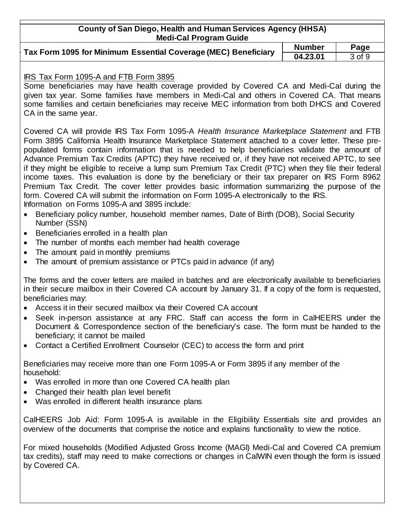# **County of San Diego, Health and Human Services Agency (HHSA) Medi-Cal Program Guide**

|                                                                                       | number |
|---------------------------------------------------------------------------------------|--------|
| Tax Form 1095 for Minimum Essential Coverage (MEC) Beneficiary $\frac{1}{2}$ 04.23.01 |        |

**Number Page 04.23.01** 3 of 9

## IRS Tax Form 1095-A and FTB Form 3895

Some beneficiaries may have health coverage provided by Covered CA and Medi-Cal during the given tax year. Some families have members in Medi-Cal and others in Covered CA. That means some families and certain beneficiaries may receive MEC information from both DHCS and Covered CA in the same year.

Covered CA will provide IRS Tax Form 1095-A *Health Insurance Marketplace Statement* and FTB Form 3895 California Health Insurance Marketplace Statement attached to a cover letter. These prepopulated forms contain information that is needed to help beneficiaries validate the amount of Advance Premium Tax Credits (APTC) they have received or, if they have not received APTC, to see if they might be eligible to receive a lump sum Premium Tax Credit (PTC) when they file their federal income taxes. This evaluation is done by the beneficiary or their tax preparer on IRS Form 8962 Premium Tax Credit. The cover letter provides basic information summarizing the purpose of the form. Covered CA will submit the information on Form 1095-A electronically to the IRS. Information on Forms 1095-A and 3895 include:

- Beneficiary policy number, household member names, Date of Birth (DOB), Social Security Number (SSN)
- Beneficiaries enrolled in a health plan
- The number of months each member had health coverage
- The amount paid in monthly premiums
- The amount of premium assistance or PTCs paid in advance (if any)

The forms and the cover letters are mailed in batches and are electronically available to beneficiaries in their secure mailbox in their Covered CA account by January 31. If a copy of the form is requested, beneficiaries may:

- Access it in their secured mailbox via their Covered CA account
- Seek in-person assistance at any FRC. Staff can access the form in CalHEERS under the Document & Correspondence section of the beneficiary's case. The form must be handed to the beneficiary; it cannot be mailed
- Contact a Certified Enrollment Counselor (CEC) to access the form and print

Beneficiaries may receive more than one Form 1095-A or Form 3895 if any member of the household:

- Was enrolled in more than one Covered CA health plan
- Changed their health plan level benefit
- Was enrolled in different health insurance plans

CalHEERS Job Aid: Form 1095-A is available in the Eligibility Essentials site and provides an overview of the documents that comprise the notice and explains functionality to view the notice.

For mixed households (Modified Adjusted Gross Income (MAGI) Medi-Cal and Covered CA premium tax credits), staff may need to make corrections or changes in CalWIN even though the form is issued by Covered CA.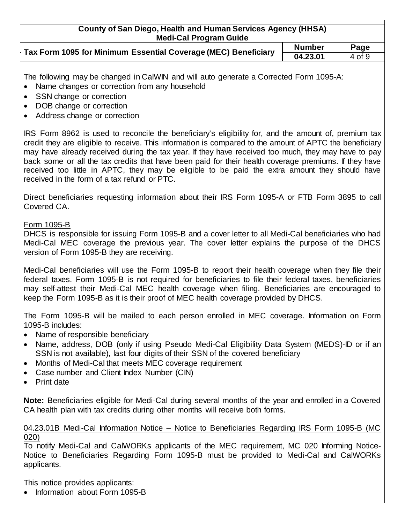| County of San Diego, Health and Human Services Agency (HHSA)<br><b>Medi-Cal Program Guide</b> |               |        |
|-----------------------------------------------------------------------------------------------|---------------|--------|
|                                                                                               | <b>Number</b> | Page   |
| Tax Form 1095 for Minimum Essential Coverage (MEC) Beneficiary                                | 04.23.01      | 4 of 9 |

The following may be changed in CalWIN and will auto generate a Corrected Form 1095-A:

- Name changes or correction from any household
- SSN change or correction
- DOB change or correction
- Address change or correction

IRS Form 8962 is used to reconcile the beneficiary's eligibility for, and the amount of, premium tax credit they are eligible to receive. This information is compared to the amount of APTC the beneficiary may have already received during the tax year. If they have received too much, they may have to pay back some or all the tax credits that have been paid for their health coverage premiums. If they have received too little in APTC, they may be eligible to be paid the extra amount they should have received in the form of a tax refund or PTC.

Direct beneficiaries requesting information about their IRS Form 1095-A or FTB Form 3895 to call Covered CA.

## Form 1095-B

DHCS is responsible for issuing Form 1095-B and a cover letter to all Medi-Cal beneficiaries who had Medi-Cal MEC coverage the previous year. The cover letter explains the purpose of the DHCS version of Form 1095-B they are receiving.

Medi-Cal beneficiaries will use the Form 1095-B to report their health coverage when they file their federal taxes. Form 1095-B is not required for beneficiaries to file their federal taxes, beneficiaries may self-attest their Medi-Cal MEC health coverage when filing. Beneficiaries are encouraged to keep the Form 1095-B as it is their proof of MEC health coverage provided by DHCS.

The Form 1095-B will be mailed to each person enrolled in MEC coverage. Information on Form 1095-B includes:

- Name of responsible beneficiary
- Name, address, DOB (only if using Pseudo Medi-Cal Eligibility Data System (MEDS)-ID or if an SSN is not available), last four digits of their SSN of the covered beneficiary
- Months of Medi-Cal that meets MEC coverage requirement
- Case number and Client Index Number (CIN)
- Print date

**Note:** Beneficiaries eligible for Medi-Cal during several months of the year and enrolled in a Covered CA health plan with tax credits during other months will receive both forms.

#### 04.23.01B Medi-Cal Information Notice – Notice to Beneficiaries Regarding IRS Form 1095-B (MC 020)

To notify Medi-Cal and CalWORKs applicants of the MEC requirement, MC 020 Informing Notice-Notice to Beneficiaries Regarding Form 1095-B must be provided to Medi-Cal and CalWORKs applicants.

This notice provides applicants:

• Information about Form 1095-B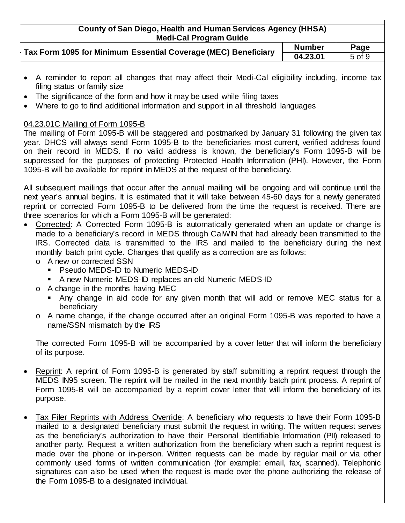| County of San Diego, Health and Human Services Agency (HHSA) |  |
|--------------------------------------------------------------|--|
| <b>Medi-Cal Program Guide</b>                                |  |

| Tax Form 1095 for Minimum Essential Coverage (MEC) Beneficiary | <b>Number</b> | Page   |
|----------------------------------------------------------------|---------------|--------|
|                                                                | 04.23.01      | 5 of 9 |

- A reminder to report all changes that may affect their Medi-Cal eligibility including, income tax filing status or family size
- The significance of the form and how it may be used while filing taxes
- Where to go to find additional information and support in all threshold languages

## 04.23.01C Mailing of Form 1095-B

The mailing of Form 1095-B will be staggered and postmarked by January 31 following the given tax year. DHCS will always send Form 1095-B to the beneficiaries most current, verified address found on their record in MEDS. If no valid address is known, the beneficiary's Form 1095-B will be suppressed for the purposes of protecting Protected Health Information (PHI). However, the Form 1095-B will be available for reprint in MEDS at the request of the beneficiary.

All subsequent mailings that occur after the annual mailing will be ongoing and will continue until the next year's annual begins. It is estimated that it will take between 45-60 days for a newly generated reprint or corrected Form 1095-B to be delivered from the time the request is received. There are three scenarios for which a Form 1095-B will be generated:

- Corrected: A Corrected Form 1095-B is automatically generated when an update or change is made to a beneficiary's record in MEDS through CalWIN that had already been transmitted to the IRS. Corrected data is transmitted to the IRS and mailed to the beneficiary during the next monthly batch print cycle. Changes that qualify as a correction are as follows:
	- o A new or corrected SSN
		- **Pseudo MEDS-ID to Numeric MEDS-ID**
		- A new Numeric MEDS-ID replaces an old Numeric MEDS-ID
	- o A change in the months having MEC
		- Any change in aid code for any given month that will add or remove MEC status for a beneficiary
	- o A name change, if the change occurred after an original Form 1095-B was reported to have a name/SSN mismatch by the IRS

The corrected Form 1095-B will be accompanied by a cover letter that will inform the beneficiary of its purpose.

- Reprint: A reprint of Form 1095-B is generated by staff submitting a reprint request through the MEDS IN95 screen. The reprint will be mailed in the next monthly batch print process. A reprint of Form 1095-B will be accompanied by a reprint cover letter that will inform the beneficiary of its purpose.
- Tax Filer Reprints with Address Override: A beneficiary who requests to have their Form 1095-B mailed to a designated beneficiary must submit the request in writing. The written request serves as the beneficiary's authorization to have their Personal Identifiable Information (PII) released to another party. Request a written authorization from the beneficiary when such a reprint request is made over the phone or in-person. Written requests can be made by regular mail or via other commonly used forms of written communication (for example: email, fax, scanned). Telephonic signatures can also be used when the request is made over the phone authorizing the release of the Form 1095-B to a designated individual.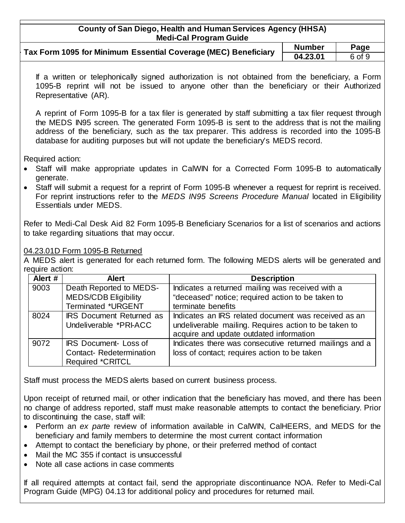# **County of San Diego, Health and Human Services Agency (HHSA) Medi-Cal Program Guide**

| Tax Form 1095 for Minimum Essential Coverage (MEC) Beneficiary | <b>Number</b> | Page   |
|----------------------------------------------------------------|---------------|--------|
|                                                                | 04.23.01      | 6 of 9 |

If a written or telephonically signed authorization is not obtained from the beneficiary, a Form 1095-B reprint will not be issued to anyone other than the beneficiary or their Authorized Representative (AR).

A reprint of Form 1095-B for a tax filer is generated by staff submitting a tax filer request through the MEDS IN95 screen. The generated Form 1095-B is sent to the address that is not the mailing address of the beneficiary, such as the tax preparer. This address is recorded into the 1095-B database for auditing purposes but will not update the beneficiary's MEDS record.

Required action:

- Staff will make appropriate updates in CalWIN for a Corrected Form 1095-B to automatically generate.
- Staff will submit a request for a reprint of Form 1095-B whenever a request for reprint is received. For reprint instructions refer to the *MEDS IN95 Screens Procedure Manual* located in Eligibility Essentials under MEDS.

Refer to Medi-Cal Desk Aid 82 Form 1095-B Beneficiary Scenarios for a list of scenarios and actions to take regarding situations that may occur.

## 04.23.01D Form 1095-B Returned

A MEDS alert is generated for each returned form. The following MEDS alerts will be generated and require action:

| Alert # | <b>Alert</b>                    | <b>Description</b>                                      |
|---------|---------------------------------|---------------------------------------------------------|
| 9003    | Death Reported to MEDS-         | Indicates a returned mailing was received with a        |
|         | <b>MEDS/CDB Eligibility</b>     | "deceased" notice; required action to be taken to       |
|         | <b>Terminated *URGENT</b>       | terminate benefits                                      |
| 8024    | <b>IRS Document Returned as</b> | Indicates an IRS related document was received as an    |
|         | Undeliverable *PRI-ACC          | undeliverable mailing. Requires action to be taken to   |
|         |                                 | acquire and update outdated information                 |
| 9072    | <b>IRS Document-Loss of</b>     | Indicates there was consecutive returned mailings and a |
|         | Contact-Redetermination         | loss of contact; requires action to be taken            |
|         | <b>Required *CRITCL</b>         |                                                         |

Staff must process the MEDS alerts based on current business process.

Upon receipt of returned mail, or other indication that the beneficiary has moved, and there has been no change of address reported, staff must make reasonable attempts to contact the beneficiary. Prior to discontinuing the case, staff will:

- Perform an *ex parte* review of information available in CalWIN, CalHEERS, and MEDS for the beneficiary and family members to determine the most current contact information
- Attempt to contact the beneficiary by phone, or their preferred method of contact
- Mail the MC 355 if contact is unsuccessful
- Note all case actions in case comments

If all required attempts at contact fail, send the appropriate discontinuance NOA. Refer to Medi-Cal Program Guide (MPG) 04.13 for additional policy and procedures for returned mail.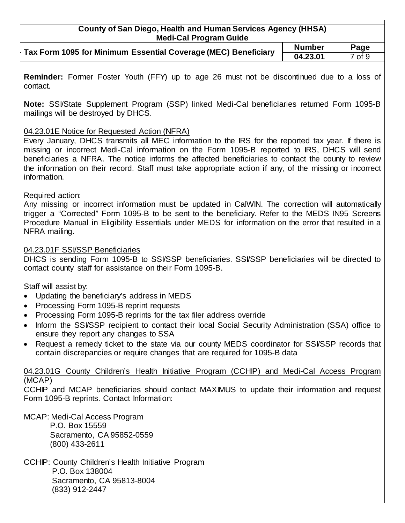| County of San Diego, Health and Human Services Agency (HHSA) |
|--------------------------------------------------------------|
|                                                              |
| <b>Medi-Cal Program Guide</b>                                |

| Tax Form 1095 for Minimum Essential Coverage (MEC) Beneficiary | <b>Number</b> | Page   |
|----------------------------------------------------------------|---------------|--------|
|                                                                | 04.23.01      | 7 of 9 |

**Reminder:** Former Foster Youth (FFY) up to age 26 must not be discontinued due to a loss of contact.

**Note:** SSI/State Supplement Program (SSP) linked Medi-Cal beneficiaries returned Form 1095-B mailings will be destroyed by DHCS.

## 04.23.01E Notice for Requested Action (NFRA)

Every January, DHCS transmits all MEC information to the IRS for the reported tax year. If there is missing or incorrect Medi-Cal information on the Form 1095-B reported to IRS, DHCS will send beneficiaries a NFRA. The notice informs the affected beneficiaries to contact the county to review the information on their record. Staff must take appropriate action if any, of the missing or incorrect information.

#### Required action:

Any missing or incorrect information must be updated in CalWIN. The correction will automatically trigger a "Corrected" Form 1095-B to be sent to the beneficiary. Refer to the MEDS IN95 Screens Procedure Manual in Eligibility Essentials under MEDS for information on the error that resulted in a NFRA mailing.

## 04.23.01F SSI/SSP Beneficiaries

DHCS is sending Form 1095-B to SSI/SSP beneficiaries. SSI/SSP beneficiaries will be directed to contact county staff for assistance on their Form 1095-B.

Staff will assist by:

- Updating the beneficiary's address in MEDS
- Processing Form 1095-B reprint requests
- Processing Form 1095-B reprints for the tax filer address override
- Inform the SSI/SSP recipient to contact their local Social Security Administration (SSA) office to ensure they report any changes to SSA
- Request a remedy ticket to the state via our county MEDS coordinator for SSI/SSP records that contain discrepancies or require changes that are required for 1095-B data

04.23.01G County Children's Health Initiative Program (CCHIP) and Medi-Cal Access Program (MCAP)

CCHIP and MCAP beneficiaries should contact MAXIMUS to update their information and request Form 1095-B reprints. Contact Information:

MCAP: Medi-Cal Access Program P.O. Box 15559 Sacramento, CA 95852-0559 (800) 433-2611

CCHIP: County Children's Health Initiative Program P.O. Box 138004 Sacramento, CA 95813-8004 (833) 912-2447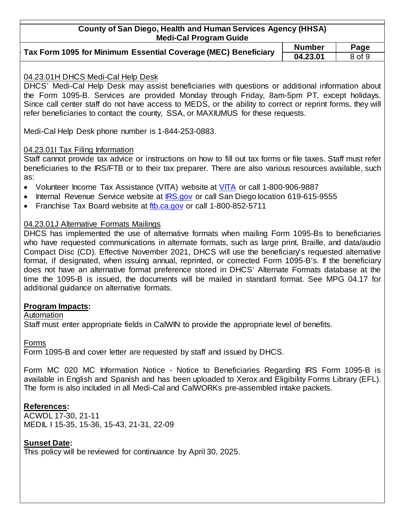## **County of San Diego, Health and Human Services Agency (HHSA) Medi-Cal Program Guide**

| Tax Form 1095 for Minimum Essential Coverage (MEC) Beneficiary $\vert$ | <b>Number</b> | Page              |
|------------------------------------------------------------------------|---------------|-------------------|
|                                                                        | 04.23.01      | 8 <sub>of</sub> 9 |

# **04.23.01** 8 of 9

#### 04.23.01H DHCS Medi-Cal Help Desk

DHCS' Medi-Cal Help Desk may assist beneficiaries with questions or additional information about the Form 1095-B. Services are provided Monday through Friday, 8am-5pm PT, except holidays. Since call center staff do not have access to MEDS, or the ability to correct or reprint forms, they will refer beneficiaries to contact the county, SSA, or MAXIUMUS for these requests.

Medi-Cal Help Desk phone number is 1-844-253-0883.

## 04.23.01I Tax Filing Information

Staff cannot provide tax advice or instructions on how to fill out tax forms or file taxes. Staff must refer beneficiaries to the IRS/FTB or to their tax preparer. There are also various resources available, such as:

- Volunteer Income Tax Assistance (VITA) website at [VITA](http://irs.treasury.gov/freetaxprep/jsp/vita.jsp?zip=91910&lat=32.6385134&lng=-117.06175530000001&radius=100) or call 1-800-906-9887
- Internal Revenue Service website at [IRS.gov](https://www.irs.gov/) or call San Diego location 619-615-9555
- Franchise Tax Board website at [ftb.ca.gov](https://www.ftb.ca.gov/) or call 1-800-852-5711

## 04.23.01J Alternative Formats Mailings

DHCS has implemented the use of alternative formats when mailing Form 1095-Bs to beneficiaries who have requested communications in alternate formats, such as large print, Braille, and data/audio Compact Disc (CD). Effective November 2021, DHCS will use the beneficiary's requested alternative format, if designated, when issuing annual, reprinted, or corrected Form 1095-B's. If the beneficiary does not have an alternative format preference stored in DHCS' Alternate Formats database at the time the 1095-B is issued, the documents will be mailed in standard format. See MPG 04.17 for additional guidance on alternative formats.

# **Program Impacts:**

## Automation

Staff must enter appropriate fields in CalWIN to provide the appropriate level of benefits.

Forms

Form 1095-B and cover letter are requested by staff and issued by DHCS.

Form MC 020 MC Information Notice - Notice to Beneficiaries Regarding IRS Form 1095-B is available in English and Spanish and has been uploaded to Xerox and Eligibility Forms Library (EFL). The form is also included in all Medi-Cal and CalWORKs pre-assembled intake packets.

# **References:**

ACWDL 17-30, 21-11 MEDIL I 15-35, 15-36, 15-43, 21-31, 22-09

# **Sunset Date:**

This policy will be reviewed for continuance by April 30, 2025.